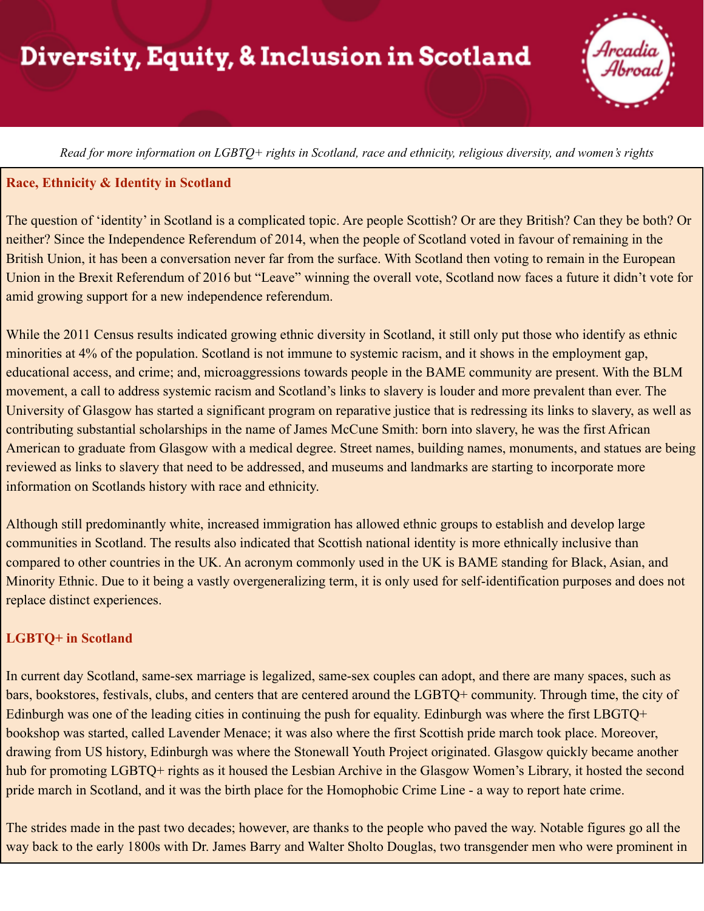# Diversity, Equity, & Inclusion in Scotland

Read for more information on LGBTO+ rights in Scotland, race and ethnicity, religious diversity, and women's rights

#### **Race, Ethnicity & Identity in Scotland**

The question of 'identity' in Scotland is a complicated topic. Are people Scottish? Or are they British? Can they be both? Or neither? Since the Independence Referendum of 2014, when the people of Scotland voted in favour of remaining in the British Union, it has been a conversation never far from the surface. With Scotland then voting to remain in the European Union in the Brexit Referendum of 2016 but "Leave" winning the overall vote, Scotland now faces a future it didn't vote for amid growing support for a new independence referendum.

While the 2011 Census results indicated growing ethnic diversity in Scotland, it still only put those who identify as ethnic minorities at 4% of the population. Scotland is not immune to systemic racism, and it shows in the employment gap, educational access, and crime; and, microaggressions towards people in the BAME community are present. With the BLM movement, a call to address systemic racism and Scotland's links to slavery is louder and more prevalent than ever. The University of Glasgow has started a significant program on reparative justice that is redressing its links to slavery, as well as contributing substantial scholarships in the name of James McCune Smith: born into slavery, he was the first African American to graduate from Glasgow with a medical degree. Street names, building names, monuments, and statues are being reviewed as links to slavery that need to be addressed, and museums and landmarks are starting to incorporate more information on Scotlands history with race and ethnicity.

Although still predominantly white, increased immigration has allowed ethnic groups to establish and develop large communities in Scotland. The results also indicated that Scottish national identity is more ethnically inclusive than compared to other countries in the UK. An acronym commonly used in the UK is BAME standing for Black, Asian, and Minority Ethnic. Due to it being a vastly overgeneralizing term, it is only used for self-identification purposes and does not replace distinct experiences.

#### **LGBTQ+ in Scotland**

In current day Scotland, same-sex marriage is legalized, same-sex couples can adopt, and there are many spaces, such as bars, bookstores, festivals, clubs, and centers that are centered around the LGBTQ+ community. Through time, the city of Edinburgh was one of the leading cities in continuing the push for equality. Edinburgh was where the first LBGTQ+ bookshop was started, called Lavender Menace; it was also where the first Scottish pride march took place. Moreover, drawing from US history, Edinburgh was where the Stonewall Youth Project originated. Glasgow quickly became another hub for promoting LGBTQ+ rights as it housed the Lesbian Archive in the Glasgow Women's Library, it hosted the second pride march in Scotland, and it was the birth place for the Homophobic Crime Line - a way to report hate crime.

The strides made in the past two decades; however, are thanks to the people who paved the way. Notable figures go all the way back to the early 1800s with Dr. James Barry and Walter Sholto Douglas, two transgender men who were prominent in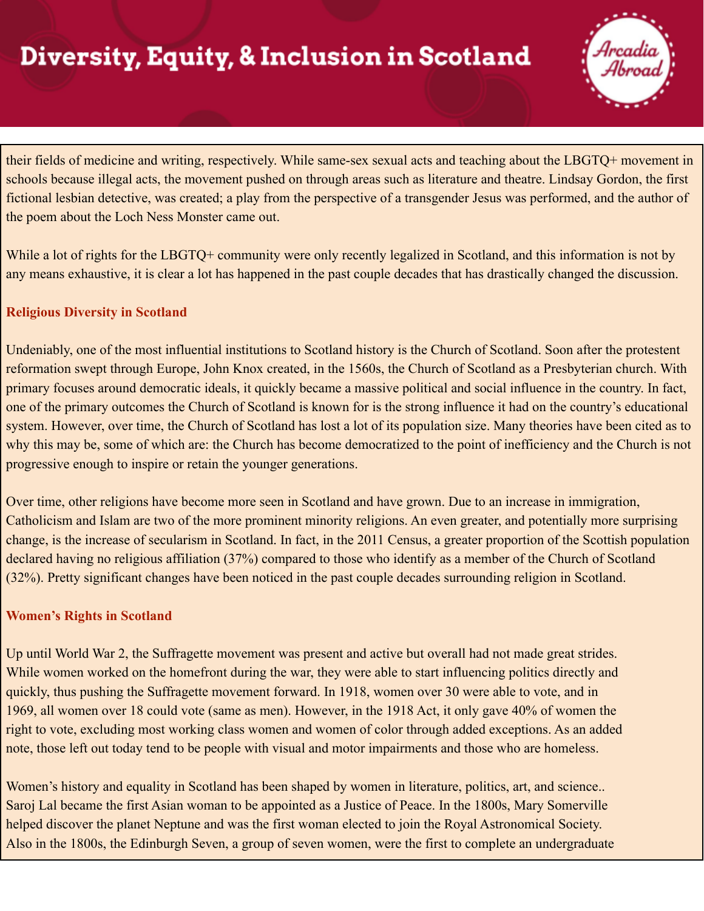## Diversity, Equity, & Inclusion in Scotland



their fields of medicine and writing, respectively. While same-sex sexual acts and teaching about the LBGTQ+ movement in schools because illegal acts, the movement pushed on through areas such as literature and theatre. Lindsay Gordon, the first fictional lesbian detective, was created; a play from the perspective of a transgender Jesus was performed, and the author of the poem about the Loch Ness Monster came out.

While a lot of rights for the LBGTQ+ community were only recently legalized in Scotland, and this information is not by any means exhaustive, it is clear a lot has happened in the past couple decades that has drastically changed the discussion.

### **Religious Diversity in Scotland**

Undeniably, one of the most influential institutions to Scotland history is the Church of Scotland. Soon after the protestent reformation swept through Europe, John Knox created, in the 1560s, the Church of Scotland as a Presbyterian church. With primary focuses around democratic ideals, it quickly became a massive political and social influence in the country. In fact, one of the primary outcomes the Church of Scotland is known for is the strong influence it had on the country's educational system. However, over time, the Church of Scotland has lost a lot of its population size. Many theories have been cited as to why this may be, some of which are: the Church has become democratized to the point of inefficiency and the Church is not progressive enough to inspire or retain the younger generations.

Over time, other religions have become more seen in Scotland and have grown. Due to an increase in immigration, Catholicism and Islam are two of the more prominent minority religions. An even greater, and potentially more surprising change, is the increase of secularism in Scotland. In fact, in the 2011 Census, a greater proportion of the Scottish population declared having no religious affiliation (37%) compared to those who identify as a member of the Church of Scotland (32%). Pretty significant changes have been noticed in the past couple decades surrounding religion in Scotland.

#### **Women's Rights in Scotland**

Up until World War 2, the Suffragette movement was present and active but overall had not made great strides. While women worked on the homefront during the war, they were able to start influencing politics directly and quickly, thus pushing the Suffragette movement forward. In 1918, women over 30 were able to vote, and in 1969, all women over 18 could vote (same as men). However, in the 1918 Act, it only gave 40% of women the right to vote, excluding most working class women and women of color through added exceptions. As an added note, those left out today tend to be people with visual and motor impairments and those who are homeless.

Women's history and equality in Scotland has been shaped by women in literature, politics, art, and science... Saroj Lal became the first Asian woman to be appointed as a Justice of Peace. In the 1800s, Mary Somerville helped discover the planet Neptune and was the first woman elected to join the Royal Astronomical Society. Also in the 1800s, the Edinburgh Seven, a group of seven women, were the first to complete an undergraduate